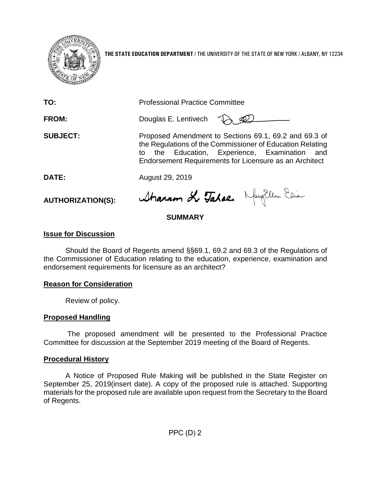

**THE STATE EDUCATION DEPARTMENT** / THE UNIVERSITY OF THE STATE OF NEW YORK / ALBANY, NY 12234

| TO:                      | <b>Professional Practice Committee</b>                                                                                                                                                                                           |
|--------------------------|----------------------------------------------------------------------------------------------------------------------------------------------------------------------------------------------------------------------------------|
| <b>FROM:</b>             | Douglas E. Lentivech                                                                                                                                                                                                             |
| <b>SUBJECT:</b>          | Proposed Amendment to Sections 69.1, 69.2 and 69.3 of<br>the Regulations of the Commissioner of Education Relating<br>to the Education, Experience, Examination<br>and<br>Endorsement Requirements for Licensure as an Architect |
| <b>DATE:</b>             | August 29, 2019                                                                                                                                                                                                                  |
| <b>AUTHORIZATION(S):</b> | Sharam & Tahae. MayEllen Ein                                                                                                                                                                                                     |

# **SUMMARY**

## **Issue for Discussion**

Should the Board of Regents amend §§69.1, 69.2 and 69.3 of the Regulations of the Commissioner of Education relating to the education, experience, examination and endorsement requirements for licensure as an architect?

## **Reason for Consideration**

Review of policy.

## **Proposed Handling**

The proposed amendment will be presented to the Professional Practice Committee for discussion at the September 2019 meeting of the Board of Regents.

## **Procedural History**

A Notice of Proposed Rule Making will be published in the State Register on September 25, 2019(insert date). A copy of the proposed rule is attached. Supporting materials for the proposed rule are available upon request from the Secretary to the Board of Regents.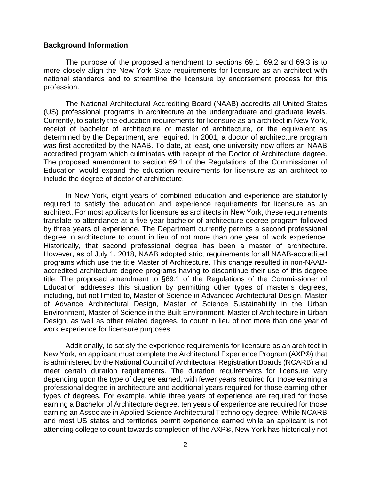#### **Background Information**

The purpose of the proposed amendment to sections 69.1, 69.2 and 69.3 is to more closely align the New York State requirements for licensure as an architect with national standards and to streamline the licensure by endorsement process for this profession.

The National Architectural Accrediting Board (NAAB) accredits all United States (US) professional programs in architecture at the undergraduate and graduate levels. Currently, to satisfy the education requirements for licensure as an architect in New York, receipt of bachelor of architecture or master of architecture, or the equivalent as determined by the Department, are required. In 2001, a doctor of architecture program was first accredited by the NAAB. To date, at least, one university now offers an NAAB accredited program which culminates with receipt of the Doctor of Architecture degree. The proposed amendment to section 69.1 of the Regulations of the Commissioner of Education would expand the education requirements for licensure as an architect to include the degree of doctor of architecture.

In New York, eight years of combined education and experience are statutorily required to satisfy the education and experience requirements for licensure as an architect. For most applicants for licensure as architects in New York, these requirements translate to attendance at a five-year bachelor of architecture degree program followed by three years of experience. The Department currently permits a second professional degree in architecture to count in lieu of not more than one year of work experience. Historically, that second professional degree has been a master of architecture. However, as of July 1, 2018, NAAB adopted strict requirements for all NAAB-accredited programs which use the title Master of Architecture. This change resulted in non-NAABaccredited architecture degree programs having to discontinue their use of this degree title. The proposed amendment to §69.1 of the Regulations of the Commissioner of Education addresses this situation by permitting other types of master's degrees, including, but not limited to, Master of Science in Advanced Architectural Design, Master of Advance Architectural Design, Master of Science Sustainability in the Urban Environment, Master of Science in the Built Environment, Master of Architecture in Urban Design, as well as other related degrees, to count in lieu of not more than one year of work experience for licensure purposes.

Additionally, to satisfy the experience requirements for licensure as an architect in New York, an applicant must complete the Architectural Experience Program (AXP®) that is administered by the National Council of Architectural Registration Boards (NCARB) and meet certain duration requirements. The duration requirements for licensure vary depending upon the type of degree earned, with fewer years required for those earning a professional degree in architecture and additional years required for those earning other types of degrees. For example, while three years of experience are required for those earning a Bachelor of Architecture degree, ten years of experience are required for those earning an Associate in Applied Science Architectural Technology degree. While NCARB and most US states and territories permit experience earned while an applicant is not attending college to count towards completion of the AXP®, New York has historically not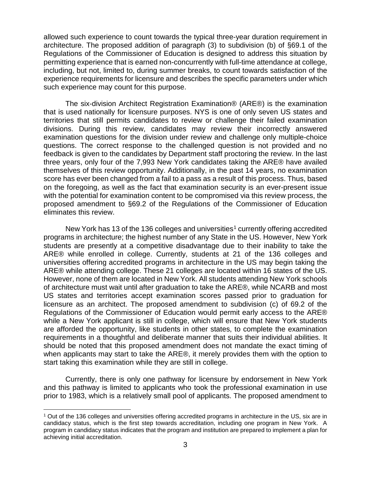allowed such experience to count towards the typical three-year duration requirement in architecture. The proposed addition of paragraph (3) to subdivision (b) of §69.1 of the Regulations of the Commissioner of Education is designed to address this situation by permitting experience that is earned non-concurrently with full-time attendance at college, including, but not, limited to, during summer breaks, to count towards satisfaction of the experience requirements for licensure and describes the specific parameters under which such experience may count for this purpose.

The six-division Architect Registration Examination® (ARE®) is the examination that is used nationally for licensure purposes. NYS is one of only seven US states and territories that still permits candidates to review or challenge their failed examination divisions. During this review, candidates may review their incorrectly answered examination questions for the division under review and challenge only multiple-choice questions. The correct response to the challenged question is not provided and no feedback is given to the candidates by Department staff proctoring the review. In the last three years, only four of the 7,993 New York candidates taking the ARE® have availed themselves of this review opportunity. Additionally, in the past 14 years, no examination score has ever been changed from a fail to a pass as a result of this process. Thus, based on the foregoing, as well as the fact that examination security is an ever-present issue with the potential for examination content to be compromised via this review process, the proposed amendment to §69.2 of the Regulations of the Commissioner of Education eliminates this review.

New York has [1](#page-2-0)3 of the 136 colleges and universities<sup>1</sup> currently offering accredited programs in architecture; the highest number of any State in the US. However, New York students are presently at a competitive disadvantage due to their inability to take the ARE® while enrolled in college. Currently, students at 21 of the 136 colleges and universities offering accredited programs in architecture in the US may begin taking the ARE® while attending college. These 21 colleges are located within 16 states of the US. However, none of them are located in New York. All students attending New York schools of architecture must wait until after graduation to take the ARE®, while NCARB and most US states and territories accept examination scores passed prior to graduation for licensure as an architect. The proposed amendment to subdivision (c) of 69.2 of the Regulations of the Commissioner of Education would permit early access to the ARE® while a New York applicant is still in college, which will ensure that New York students are afforded the opportunity, like students in other states, to complete the examination requirements in a thoughtful and deliberate manner that suits their individual abilities. It should be noted that this proposed amendment does not mandate the exact timing of when applicants may start to take the ARE®, it merely provides them with the option to start taking this examination while they are still in college.

Currently, there is only one pathway for licensure by endorsement in New York and this pathway is limited to applicants who took the professional examination in use prior to 1983, which is a relatively small pool of applicants. The proposed amendment to

<span id="page-2-0"></span><sup>1</sup> Out of the 136 colleges and universities offering accredited programs in architecture in the US, six are in candidacy status, which is the first step towards accreditation, including one program in New York. A program in candidacy status indicates that the program and institution are prepared to implement a plan for achieving initial accreditation.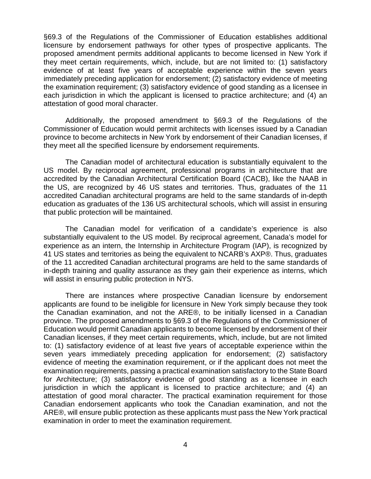§69.3 of the Regulations of the Commissioner of Education establishes additional licensure by endorsement pathways for other types of prospective applicants. The proposed amendment permits additional applicants to become licensed in New York if they meet certain requirements, which, include, but are not limited to: (1) satisfactory evidence of at least five years of acceptable experience within the seven years immediately preceding application for endorsement; (2) satisfactory evidence of meeting the examination requirement; (3) satisfactory evidence of good standing as a licensee in each jurisdiction in which the applicant is licensed to practice architecture; and (4) an attestation of good moral character.

Additionally, the proposed amendment to §69.3 of the Regulations of the Commissioner of Education would permit architects with licenses issued by a Canadian province to become architects in New York by endorsement of their Canadian licenses, if they meet all the specified licensure by endorsement requirements.

The Canadian model of architectural education is substantially equivalent to the US model. By reciprocal agreement, professional programs in architecture that are accredited by the Canadian Architectural Certification Board (CACB), like the NAAB in the US, are recognized by 46 US states and territories. Thus, graduates of the 11 accredited Canadian architectural programs are held to the same standards of in-depth education as graduates of the 136 US architectural schools, which will assist in ensuring that public protection will be maintained.

The Canadian model for verification of a candidate's experience is also substantially equivalent to the US model. By reciprocal agreement, Canada's model for experience as an intern, the Internship in Architecture Program (IAP), is recognized by 41 US states and territories as being the equivalent to NCARB's AXP®. Thus, graduates of the 11 accredited Canadian architectural programs are held to the same standards of in-depth training and quality assurance as they gain their experience as interns, which will assist in ensuring public protection in NYS.

There are instances where prospective Canadian licensure by endorsement applicants are found to be ineligible for licensure in New York simply because they took the Canadian examination, and not the ARE®, to be initially licensed in a Canadian province. The proposed amendments to §69.3 of the Regulations of the Commissioner of Education would permit Canadian applicants to become licensed by endorsement of their Canadian licenses, if they meet certain requirements, which, include, but are not limited to: (1) satisfactory evidence of at least five years of acceptable experience within the seven years immediately preceding application for endorsement; (2) satisfactory evidence of meeting the examination requirement, or if the applicant does not meet the examination requirements, passing a practical examination satisfactory to the State Board for Architecture; (3) satisfactory evidence of good standing as a licensee in each jurisdiction in which the applicant is licensed to practice architecture; and (4) an attestation of good moral character. The practical examination requirement for those Canadian endorsement applicants who took the Canadian examination, and not the ARE®, will ensure public protection as these applicants must pass the New York practical examination in order to meet the examination requirement.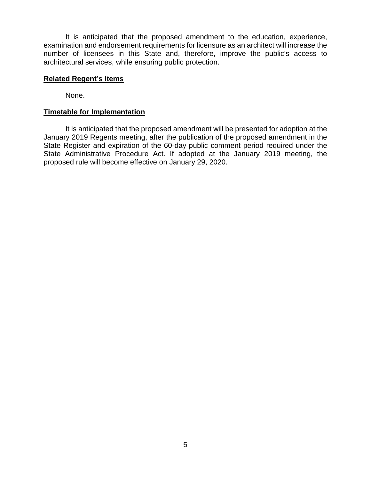It is anticipated that the proposed amendment to the education, experience, examination and endorsement requirements for licensure as an architect will increase the number of licensees in this State and, therefore, improve the public's access to architectural services, while ensuring public protection.

#### **Related Regent's Items**

None.

#### **Timetable for Implementation**

It is anticipated that the proposed amendment will be presented for adoption at the January 2019 Regents meeting, after the publication of the proposed amendment in the State Register and expiration of the 60-day public comment period required under the State Administrative Procedure Act. If adopted at the January 2019 meeting, the proposed rule will become effective on January 29, 2020.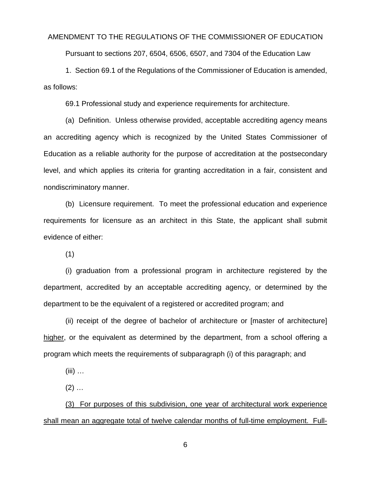#### AMENDMENT TO THE REGULATIONS OF THE COMMISSIONER OF EDUCATION

Pursuant to sections 207, 6504, 6506, 6507, and 7304 of the Education Law

1. Section 69.1 of the Regulations of the Commissioner of Education is amended, as follows:

69.1 Professional study and experience requirements for architecture.

(a) Definition. Unless otherwise provided, acceptable accrediting agency means an accrediting agency which is recognized by the United States Commissioner of Education as a reliable authority for the purpose of accreditation at the postsecondary level, and which applies its criteria for granting accreditation in a fair, consistent and nondiscriminatory manner.

(b) Licensure requirement.To meet the professional education and experience requirements for licensure as an architect in this State, the applicant shall submit evidence of either:

(1)

(i) graduation from a professional program in architecture registered by the department, accredited by an acceptable accrediting agency, or determined by the department to be the equivalent of a registered or accredited program; and

(ii) receipt of the degree of bachelor of architecture or [master of architecture] higher, or the equivalent as determined by the department, from a school offering a program which meets the requirements of subparagraph (i) of this paragraph; and

(iii) …

 $(2)$  ...

(3) For purposes of this subdivision, one year of architectural work experience shall mean an aggregate total of twelve calendar months of full-time employment. Full-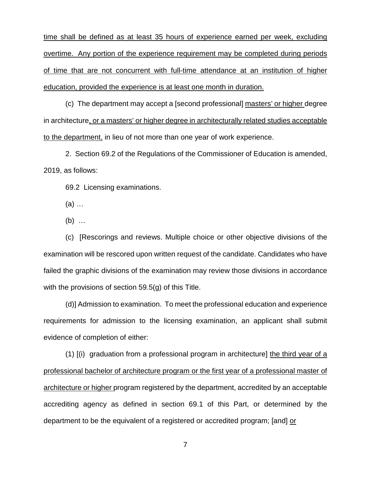time shall be defined as at least 35 hours of experience earned per week, excluding overtime. Any portion of the experience requirement may be completed during periods of time that are not concurrent with full-time attendance at an institution of higher education, provided the experience is at least one month in duration.

(c) The department may accept a [second professional] masters' or higher degree in architecture, or a masters' or higher degree in architecturally related studies acceptable to the department, in lieu of not more than one year of work experience.

2. Section 69.2 of the Regulations of the Commissioner of Education is amended, 2019, as follows:

69.2 Licensing examinations.

(a) …

(b) …

(c) [Rescorings and reviews. Multiple choice or other objective divisions of the examination will be rescored upon written request of the candidate. Candidates who have failed the graphic divisions of the examination may review those divisions in accordance with the provisions of section 59.5(g) of this Title.

(d)] Admission to examination.To meet the professional education and experience requirements for admission to the licensing examination, an applicant shall submit evidence of completion of either:

(1) [(i) graduation from a professional program in architecture] the third year of a professional bachelor of architecture program or the first year of a professional master of architecture or higher program registered by the department, accredited by an acceptable accrediting agency as defined in section 69.1 of this Part, or determined by the department to be the equivalent of a registered or accredited program; [and] or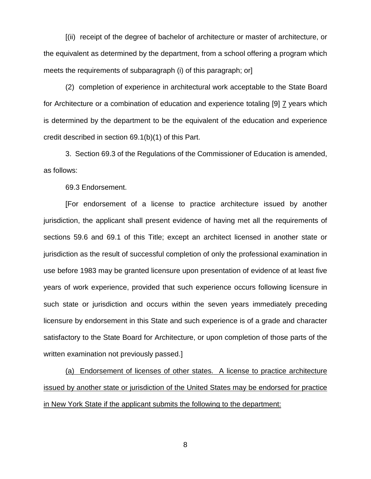[(ii) receipt of the degree of bachelor of architecture or master of architecture, or the equivalent as determined by the department, from a school offering a program which meets the requirements of subparagraph (i) of this paragraph; or]

(2) completion of experience in architectural work acceptable to the State Board for Architecture or a combination of education and experience totaling [9] 7 years which is determined by the department to be the equivalent of the education and experience credit described in section 69.1(b)(1) of this Part.

3. Section 69.3 of the Regulations of the Commissioner of Education is amended, as follows:

69.3 Endorsement.

[For endorsement of a license to practice architecture issued by another jurisdiction, the applicant shall present evidence of having met all the requirements of sections 59.6 and 69.1 of this Title; except an architect licensed in another state or jurisdiction as the result of successful completion of only the professional examination in use before 1983 may be granted licensure upon presentation of evidence of at least five years of work experience, provided that such experience occurs following licensure in such state or jurisdiction and occurs within the seven years immediately preceding licensure by endorsement in this State and such experience is of a grade and character satisfactory to the State Board for Architecture, or upon completion of those parts of the written examination not previously passed.]

(a) Endorsement of licenses of other states. A license to practice architecture issued by another state or jurisdiction of the United States may be endorsed for practice in New York State if the applicant submits the following to the department: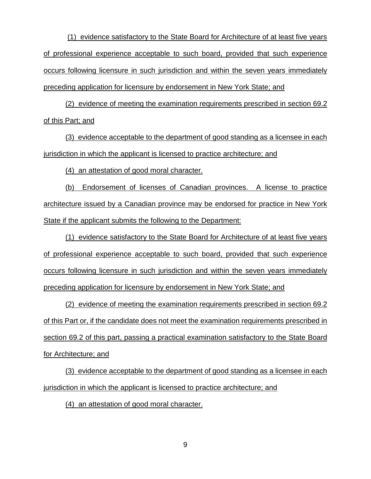(1) evidence satisfactory to the State Board for Architecture of at least five years of professional experience acceptable to such board, provided that such experience occurs following licensure in such jurisdiction and within the seven years immediately preceding application for licensure by endorsement in New York State; and

(2) evidence of meeting the examination requirements prescribed in section 69.2 of this Part; and

(3) evidence acceptable to the department of good standing as a licensee in each jurisdiction in which the applicant is licensed to practice architecture; and

(4) an attestation of good moral character.

(b) Endorsement of licenses of Canadian provinces. A license to practice architecture issued by a Canadian province may be endorsed for practice in New York State if the applicant submits the following to the Department:

(1) evidence satisfactory to the State Board for Architecture of at least five years of professional experience acceptable to such board, provided that such experience occurs following licensure in such jurisdiction and within the seven years immediately preceding application for licensure by endorsement in New York State; and

(2) evidence of meeting the examination requirements prescribed in section 69.2 of this Part or, if the candidate does not meet the examination requirements prescribed in section 69.2 of this part, passing a practical examination satisfactory to the State Board for Architecture; and

(3) evidence acceptable to the department of good standing as a licensee in each jurisdiction in which the applicant is licensed to practice architecture; and

(4) an attestation of good moral character.